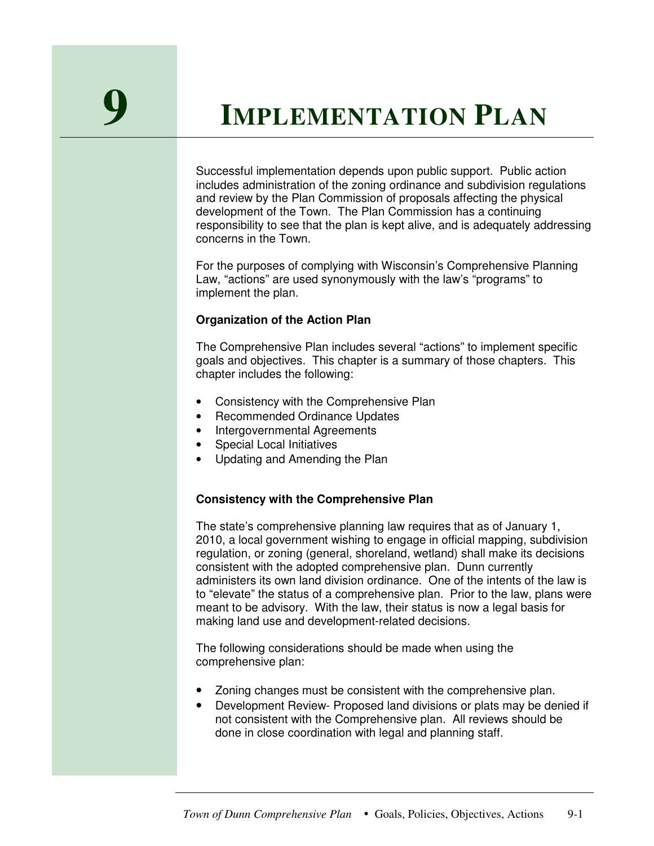# **9 <sup>I</sup>MPLEMENTATION <sup>P</sup>LAN**

Successful implementation depends upon public support. Public action includes administration of the zoning ordinance and subdivision regulations and review by the Plan Commission of proposals affecting the physical development of the Town. The Plan Commission has a continuing responsibility to see that the plan is kept alive, and is adequately addressing concerns in the Town.

For the purposes of complying with Wisconsin's Comprehensive Planning Law, "actions" are used synonymously with the law's "programs" to implement the plan.

# **Organization of the Action Plan**

The Comprehensive Plan includes several "actions" to implement specific goals and objectives. This chapter is a summary of those chapters. This chapter includes the following:

- Consistency with the Comprehensive Plan
- Recommended Ordinance Updates
- Intergovernmental Agreements
- Special Local Initiatives
- Updating and Amending the Plan

# **Consistency with the Comprehensive Plan**

The state's comprehensive planning law requires that as of January 1, 2010, a local government wishing to engage in official mapping, subdivision regulation, or zoning (general, shoreland, wetland) shall make its decisions consistent with the adopted comprehensive plan. Dunn currently administers its own land division ordinance. One of the intents of the law is to "elevate" the status of a comprehensive plan. Prior to the law, plans were meant to be advisory. With the law, their status is now a legal basis for making land use and development-related decisions.

The following considerations should be made when using the comprehensive plan:

- Zoning changes must be consistent with the comprehensive plan.
- Development Review- Proposed land divisions or plats may be denied if not consistent with the Comprehensive plan. All reviews should be done in close coordination with legal and planning staff.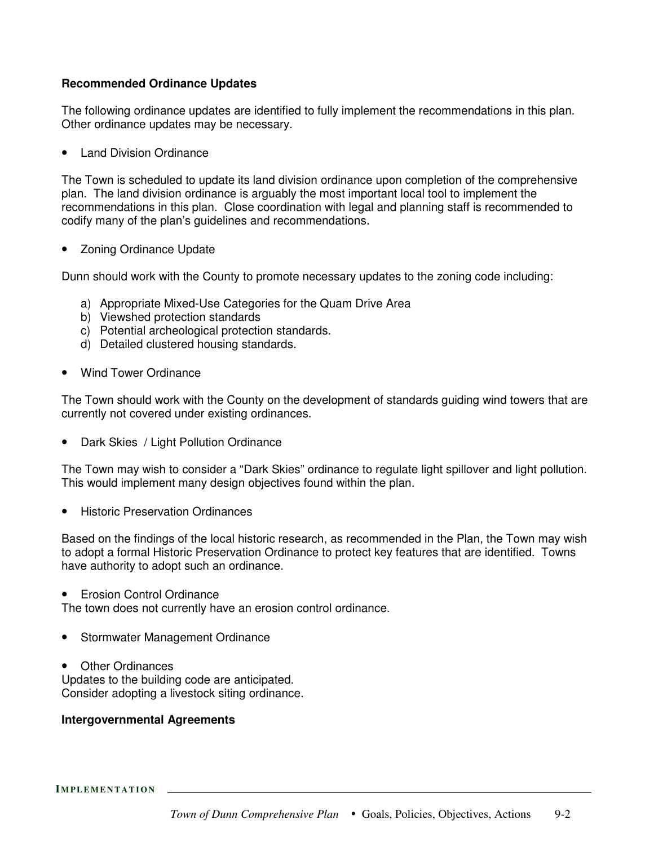# **Recommended Ordinance Updates**

The following ordinance updates are identified to fully implement the recommendations in this plan. Other ordinance updates may be necessary.

• Land Division Ordinance

The Town is scheduled to update its land division ordinance upon completion of the comprehensive plan. The land division ordinance is arguably the most important local tool to implement the recommendations in this plan. Close coordination with legal and planning staff is recommended to codify many of the plan's guidelines and recommendations.

• Zoning Ordinance Update

Dunn should work with the County to promote necessary updates to the zoning code including:

- a) Appropriate Mixed-Use Categories for the Quam Drive Area
- b) Viewshed protection standards
- c) Potential archeological protection standards.
- d) Detailed clustered housing standards.
- Wind Tower Ordinance

The Town should work with the County on the development of standards guiding wind towers that are currently not covered under existing ordinances.

• Dark Skies / Light Pollution Ordinance

The Town may wish to consider a "Dark Skies" ordinance to regulate light spillover and light pollution. This would implement many design objectives found within the plan.

• Historic Preservation Ordinances

Based on the findings of the local historic research, as recommended in the Plan, the Town may wish to adopt a formal Historic Preservation Ordinance to protect key features that are identified. Towns have authority to adopt such an ordinance.

• Erosion Control Ordinance

The town does not currently have an erosion control ordinance.

- Stormwater Management Ordinance
- Other Ordinances Updates to the building code are anticipated. Consider adopting a livestock siting ordinance.

#### **Intergovernmental Agreements**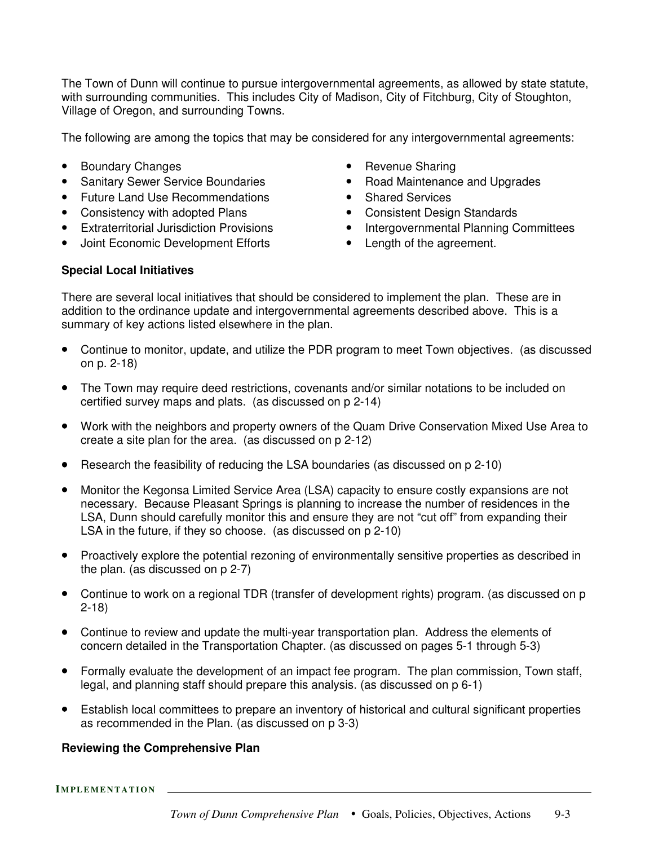The Town of Dunn will continue to pursue intergovernmental agreements, as allowed by state statute, with surrounding communities. This includes City of Madison, City of Fitchburg, City of Stoughton, Village of Oregon, and surrounding Towns.

The following are among the topics that may be considered for any intergovernmental agreements:

- Boundary Changes
- Sanitary Sewer Service Boundaries
- Future Land Use Recommendations
- Consistency with adopted Plans
- Extraterritorial Jurisdiction Provisions
- Joint Economic Development Efforts
- Revenue Sharing
- Road Maintenance and Upgrades
- Shared Services
- Consistent Design Standards
- Intergovernmental Planning Committees
- Length of the agreement.

#### **Special Local Initiatives**

There are several local initiatives that should be considered to implement the plan. These are in addition to the ordinance update and intergovernmental agreements described above. This is a summary of key actions listed elsewhere in the plan.

- Continue to monitor, update, and utilize the PDR program to meet Town objectives. (as discussed on p. 2-18)
- The Town may require deed restrictions, covenants and/or similar notations to be included on certified survey maps and plats. (as discussed on p 2-14)
- Work with the neighbors and property owners of the Quam Drive Conservation Mixed Use Area to create a site plan for the area. (as discussed on p 2-12)
- Research the feasibility of reducing the LSA boundaries (as discussed on p 2-10)
- Monitor the Kegonsa Limited Service Area (LSA) capacity to ensure costly expansions are not necessary. Because Pleasant Springs is planning to increase the number of residences in the LSA, Dunn should carefully monitor this and ensure they are not "cut off" from expanding their LSA in the future, if they so choose. (as discussed on p 2-10)
- Proactively explore the potential rezoning of environmentally sensitive properties as described in the plan. (as discussed on p 2-7)
- Continue to work on a regional TDR (transfer of development rights) program. (as discussed on p 2-18)
- Continue to review and update the multi-year transportation plan. Address the elements of concern detailed in the Transportation Chapter. (as discussed on pages 5-1 through 5-3)
- Formally evaluate the development of an impact fee program. The plan commission, Town staff, legal, and planning staff should prepare this analysis. (as discussed on p 6-1)
- Establish local committees to prepare an inventory of historical and cultural significant properties as recommended in the Plan. (as discussed on p 3-3)

#### **Reviewing the Comprehensive Plan**

**IMPLEME N T ATION**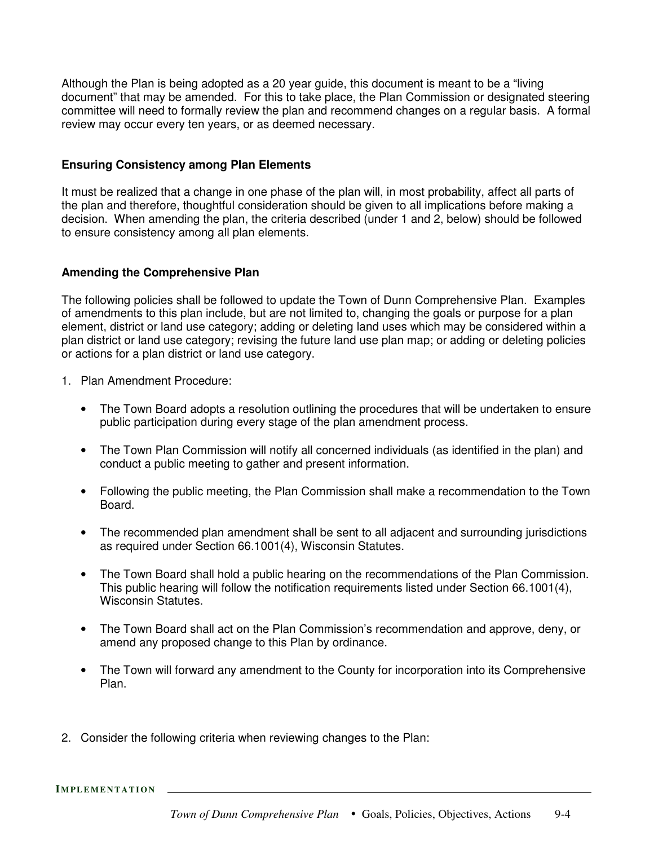Although the Plan is being adopted as a 20 year guide, this document is meant to be a "living document" that may be amended. For this to take place, the Plan Commission or designated steering committee will need to formally review the plan and recommend changes on a regular basis. A formal review may occur every ten years, or as deemed necessary.

#### **Ensuring Consistency among Plan Elements**

It must be realized that a change in one phase of the plan will, in most probability, affect all parts of the plan and therefore, thoughtful consideration should be given to all implications before making a decision. When amending the plan, the criteria described (under 1 and 2, below) should be followed to ensure consistency among all plan elements.

# **Amending the Comprehensive Plan**

The following policies shall be followed to update the Town of Dunn Comprehensive Plan. Examples of amendments to this plan include, but are not limited to, changing the goals or purpose for a plan element, district or land use category; adding or deleting land uses which may be considered within a plan district or land use category; revising the future land use plan map; or adding or deleting policies or actions for a plan district or land use category.

- 1. Plan Amendment Procedure:
	- The Town Board adopts a resolution outlining the procedures that will be undertaken to ensure public participation during every stage of the plan amendment process.
	- The Town Plan Commission will notify all concerned individuals (as identified in the plan) and conduct a public meeting to gather and present information.
	- Following the public meeting, the Plan Commission shall make a recommendation to the Town Board.
	- The recommended plan amendment shall be sent to all adjacent and surrounding jurisdictions as required under Section 66.1001(4), Wisconsin Statutes.
	- The Town Board shall hold a public hearing on the recommendations of the Plan Commission. This public hearing will follow the notification requirements listed under Section 66.1001(4), Wisconsin Statutes.
	- The Town Board shall act on the Plan Commission's recommendation and approve, deny, or amend any proposed change to this Plan by ordinance.
	- The Town will forward any amendment to the County for incorporation into its Comprehensive Plan.
- 2. Consider the following criteria when reviewing changes to the Plan:

**IMPLEME N T ATION**